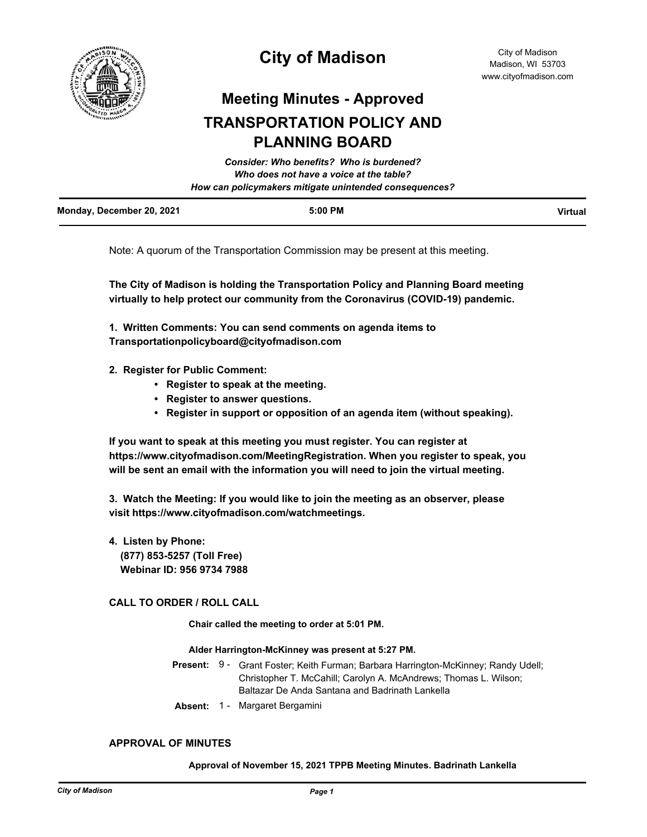

## **City of Madison**

# **Meeting Minutes - Approved TRANSPORTATION POLICY AND PLANNING BOARD**

|                           | Consider: Who benefits? Who is burdened?               |         |
|---------------------------|--------------------------------------------------------|---------|
|                           | Who does not have a voice at the table?                |         |
|                           | How can policymakers mitigate unintended consequences? |         |
| Monday, December 20, 2021 | $5:00$ PM                                              | Virtual |

Note: A quorum of the Transportation Commission may be present at this meeting.

**The City of Madison is holding the Transportation Policy and Planning Board meeting virtually to help protect our community from the Coronavirus (COVID-19) pandemic.**

**1. Written Comments: You can send comments on agenda items to Transportationpolicyboard@cityofmadison.com**

- **2. Register for Public Comment:** 
	- **Register to speak at the meeting.**
	- **Register to answer questions.**
	- **Register in support or opposition of an agenda item (without speaking).**

**If you want to speak at this meeting you must register. You can register at https://www.cityofmadison.com/MeetingRegistration. When you register to speak, you will be sent an email with the information you will need to join the virtual meeting.**

**3. Watch the Meeting: If you would like to join the meeting as an observer, please visit https://www.cityofmadison.com/watchmeetings.**

**4. Listen by Phone: (877) 853-5257 (Toll Free) Webinar ID: 956 9734 7988**

## **CALL TO ORDER / ROLL CALL**

**Chair called the meeting to order at 5:01 PM.**

#### **Alder Harrington-McKinney was present at 5:27 PM.**

- Present: 9 Grant Foster; Keith Furman; Barbara Harrington-McKinney; Randy Udell; Christopher T. McCahill; Carolyn A. McAndrews; Thomas L. Wilson; Baltazar De Anda Santana and Badrinath Lankella
- **Absent:** 1 Margaret Bergamini

### **APPROVAL OF MINUTES**

### **Approval of November 15, 2021 TPPB Meeting Minutes. Badrinath Lankella**